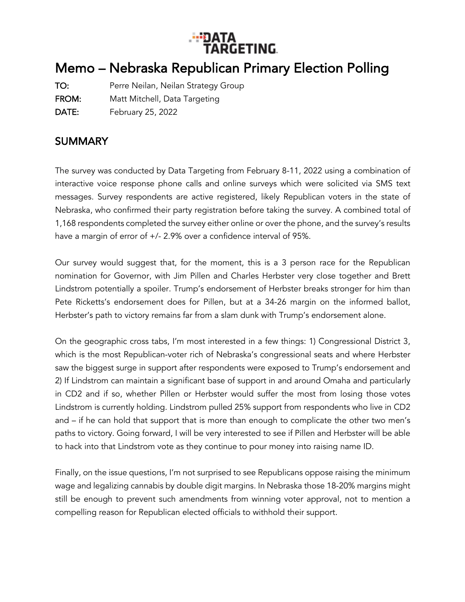

## Memo – Nebraska Republican Primary Election Polling

TO: Perre Neilan, Neilan Strategy Group FROM: Matt Mitchell, Data Targeting

DATE: February 25, 2022

## SUMMARY

The survey was conducted by Data Targeting from February 8-11, 2022 using a combination of interactive voice response phone calls and online surveys which were solicited via SMS text messages. Survey respondents are active registered, likely Republican voters in the state of Nebraska, who confirmed their party registration before taking the survey. A combined total of 1,168 respondents completed the survey either online or over the phone, and the survey's results have a margin of error of +/- 2.9% over a confidence interval of 95%.

Our survey would suggest that, for the moment, this is a 3 person race for the Republican nomination for Governor, with Jim Pillen and Charles Herbster very close together and Brett Lindstrom potentially a spoiler. Trump's endorsement of Herbster breaks stronger for him than Pete Ricketts's endorsement does for Pillen, but at a 34-26 margin on the informed ballot, Herbster's path to victory remains far from a slam dunk with Trump's endorsement alone.

On the geographic cross tabs, I'm most interested in a few things: 1) Congressional District 3, which is the most Republican-voter rich of Nebraska's congressional seats and where Herbster saw the biggest surge in support after respondents were exposed to Trump's endorsement and 2) If Lindstrom can maintain a significant base of support in and around Omaha and particularly in CD2 and if so, whether Pillen or Herbster would suffer the most from losing those votes Lindstrom is currently holding. Lindstrom pulled 25% support from respondents who live in CD2 and – if he can hold that support that is more than enough to complicate the other two men's paths to victory. Going forward, I will be very interested to see if Pillen and Herbster will be able to hack into that Lindstrom vote as they continue to pour money into raising name ID.

Finally, on the issue questions, I'm not surprised to see Republicans oppose raising the minimum wage and legalizing cannabis by double digit margins. In Nebraska those 18-20% margins might still be enough to prevent such amendments from winning voter approval, not to mention a compelling reason for Republican elected officials to withhold their support.